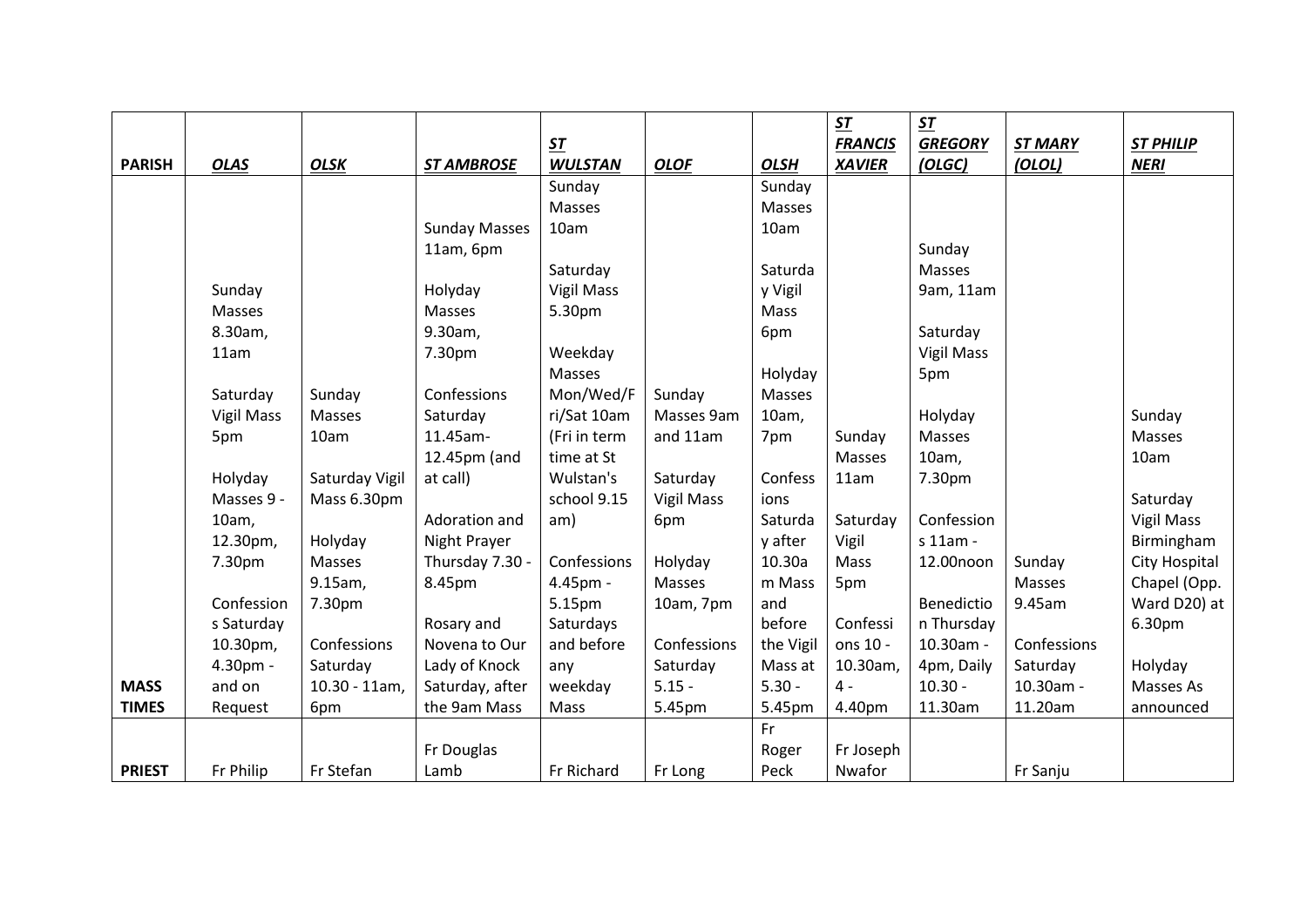|               |                   |                  |                      |                   |                   |             | ST             | $\pmb{\mathit{ST}}$ |                |                   |
|---------------|-------------------|------------------|----------------------|-------------------|-------------------|-------------|----------------|---------------------|----------------|-------------------|
|               |                   |                  |                      | $ST$              |                   |             | <b>FRANCIS</b> | <b>GREGORY</b>      | <b>ST MARY</b> | <b>ST PHILIP</b>  |
| <b>PARISH</b> | <b>OLAS</b>       | <b>OLSK</b>      | <b>ST AMBROSE</b>    | <b>WULSTAN</b>    | <b>OLOF</b>       | <b>OLSH</b> | <b>XAVIER</b>  | (OLGC)              | (OLOL)         | <b>NERI</b>       |
|               |                   |                  |                      | Sunday            |                   | Sunday      |                |                     |                |                   |
|               |                   |                  |                      | Masses            |                   | Masses      |                |                     |                |                   |
|               |                   |                  | <b>Sunday Masses</b> | 10am              |                   | 10am        |                |                     |                |                   |
|               |                   |                  | 11am, 6pm            |                   |                   |             |                | Sunday              |                |                   |
|               |                   |                  |                      | Saturday          |                   | Saturda     |                | Masses              |                |                   |
|               | Sunday            |                  | Holyday              | <b>Vigil Mass</b> |                   | y Vigil     |                | 9am, 11am           |                |                   |
|               | Masses            |                  | <b>Masses</b>        | 5.30pm            |                   | Mass        |                |                     |                |                   |
|               | 8.30am,           |                  | 9.30am,              |                   |                   | 6pm         |                | Saturday            |                |                   |
|               | 11am              |                  | 7.30pm               | Weekday           |                   |             |                | <b>Vigil Mass</b>   |                |                   |
|               |                   |                  |                      | Masses            |                   | Holyday     |                | 5pm                 |                |                   |
|               | Saturday          | Sunday           | Confessions          | Mon/Wed/F         | Sunday            | Masses      |                |                     |                |                   |
|               | <b>Vigil Mass</b> | Masses           | Saturday             | ri/Sat 10am       | Masses 9am        | 10am,       |                | Holyday             |                | Sunday            |
|               | 5pm               | 10am             | 11.45am-             | (Fri in term      | and 11am          | 7pm         | Sunday         | Masses              |                | Masses            |
|               |                   |                  | 12.45pm (and         | time at St        |                   |             | Masses         | 10am,               |                | 10am              |
|               | Holyday           | Saturday Vigil   | at call)             | Wulstan's         | Saturday          | Confess     | 11am           | 7.30pm              |                |                   |
|               | Masses 9 -        | Mass 6.30pm      |                      | school 9.15       | <b>Vigil Mass</b> | ions        |                |                     |                | Saturday          |
|               | 10am,             |                  | Adoration and        | am)               | 6pm               | Saturda     | Saturday       | Confession          |                | <b>Vigil Mass</b> |
|               | 12.30pm,          | Holyday          | Night Prayer         |                   |                   | y after     | Vigil          | s 11am -            |                | Birmingham        |
|               | 7.30pm            | Masses           | Thursday 7.30 -      | Confessions       | Holyday           | 10.30a      | Mass           | 12.00noon           | Sunday         | City Hospital     |
|               |                   | 9.15am,          | 8.45pm               | 4.45pm -          | Masses            | m Mass      | 5pm            |                     | Masses         | Chapel (Opp.      |
|               | Confession        | 7.30pm           |                      | 5.15pm            | 10am, 7pm         | and         |                | Benedictio          | 9.45am         | Ward D20) at      |
|               | s Saturday        |                  | Rosary and           | Saturdays         |                   | before      | Confessi       | n Thursday          |                | 6.30pm            |
|               | 10.30pm,          | Confessions      | Novena to Our        | and before        | Confessions       | the Vigil   | ons 10 -       | 10.30am -           | Confessions    |                   |
|               | 4.30pm -          | Saturday         | Lady of Knock        | any               | Saturday          | Mass at     | 10.30am,       | 4pm, Daily          | Saturday       | Holyday           |
| <b>MASS</b>   | and on            | $10.30 - 11$ am, | Saturday, after      | weekday           | $5.15 -$          | $5.30 -$    | $4 -$          | $10.30 -$           | 10.30am -      | Masses As         |
| <b>TIMES</b>  | Request           | 6pm              | the 9am Mass         | Mass              | 5.45pm            | 5.45pm      | 4.40pm         | 11.30am             | 11.20am        | announced         |
|               |                   |                  |                      |                   |                   | Fr          |                |                     |                |                   |
|               |                   |                  | Fr Douglas           |                   |                   | Roger       | Fr Joseph      |                     |                |                   |
| <b>PRIEST</b> | Fr Philip         | Fr Stefan        | Lamb                 | Fr Richard        | Fr Long           | Peck        | Nwafor         |                     | Fr Sanju       |                   |